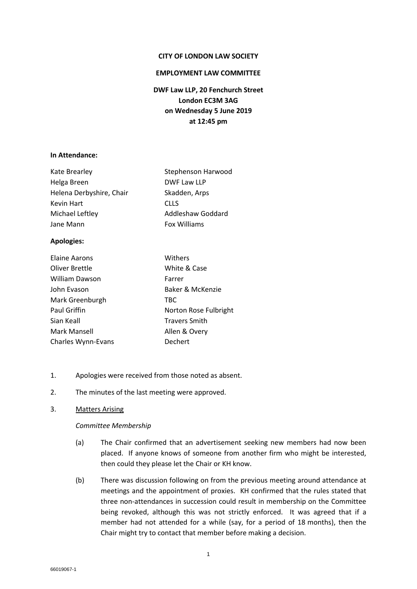#### **CITY OF LONDON LAW SOCIETY**

#### **EMPLOYMENT LAW COMMITTEE**

**DWF Law LLP, 20 Fenchurch Street London EC3M 3AG on Wednesday 5 June 2019 at 12:45 pm**

#### **In Attendance:**

| Kate Brearley            | Stephenson Harwood |
|--------------------------|--------------------|
| Helga Breen              | DWF Law LLP        |
| Helena Derbyshire, Chair | Skadden, Arps      |
| Kevin Hart               | <b>CLLS</b>        |
| Michael Leftley          | Addleshaw Goddard  |
| Jane Mann                | Fox Williams       |

## **Apologies:**

| Elaine Aarons         | Withers               |
|-----------------------|-----------------------|
| <b>Oliver Brettle</b> | White & Case          |
| William Dawson        | Farrer                |
| John Evason           | Baker & McKenzie      |
| Mark Greenburgh       | <b>TBC</b>            |
| Paul Griffin          | Norton Rose Fulbright |
| Sian Keall            | <b>Travers Smith</b>  |
| Mark Mansell          | Allen & Overy         |
| Charles Wynn-Evans    | Dechert               |

- 1. Apologies were received from those noted as absent.
- 2. The minutes of the last meeting were approved.
- 3. Matters Arising

#### *Committee Membership*

- (a) The Chair confirmed that an advertisement seeking new members had now been placed. If anyone knows of someone from another firm who might be interested, then could they please let the Chair or KH know.
- (b) There was discussion following on from the previous meeting around attendance at meetings and the appointment of proxies. KH confirmed that the rules stated that three non-attendances in succession could result in membership on the Committee being revoked, although this was not strictly enforced. It was agreed that if a member had not attended for a while (say, for a period of 18 months), then the Chair might try to contact that member before making a decision.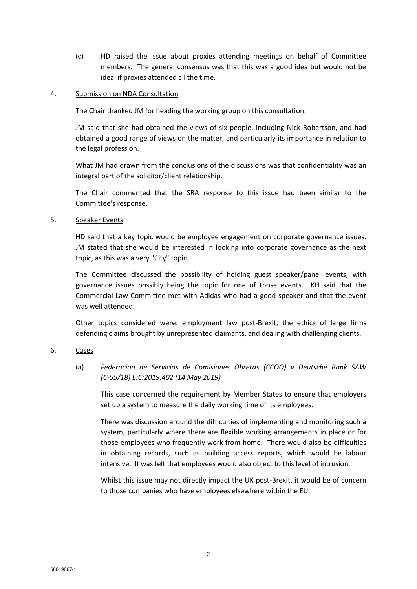(c) HD raised the issue about proxies attending meetings on behalf of Committee members. The general consensus was that this was a good idea but would not be ideal if proxies attended all the time.

### 4. Submission on NDA Consultation

The Chair thanked JM for heading the working group on this consultation.

JM said that she had obtained the views of six people, including Nick Robertson, and had obtained a good range of views on the matter, and particularly its importance in relation to the legal profession.

What JM had drawn from the conclusions of the discussions was that confidentiality was an integral part of the solicitor/client relationship.

The Chair commented that the SRA response to this issue had been similar to the Committee's response.

## 5. Speaker Events

HD said that a key topic would be employee engagement on corporate governance issues. JM stated that she would be interested in looking into corporate governance as the next topic, as this was a very "City" topic.

The Committee discussed the possibility of holding guest speaker/panel events, with governance issues possibly being the topic for one of those events. KH said that the Commercial Law Committee met with Adidas who had a good speaker and that the event was well attended.

Other topics considered were: employment law post-Brexit, the ethics of large firms defending claims brought by unrepresented claimants, and dealing with challenging clients.

# 6. Cases

(a) *Federacion de Servicios de Comisiones Obreras (CCOO) v Deutsche Bank SAW (C-55/18) E:C:2019:402 (14 May 2019)*

This case concerned the requirement by Member States to ensure that employers set up a system to measure the daily working time of its employees.

There was discussion around the difficulties of implementing and monitoring such a system, particularly where there are flexible working arrangements in place or for those employees who frequently work from home. There would also be difficulties in obtaining records, such as building access reports, which would be labour intensive. It was felt that employees would also object to this level of intrusion.

Whilst this issue may not directly impact the UK post-Brexit, it would be of concern to those companies who have employees elsewhere within the EU.